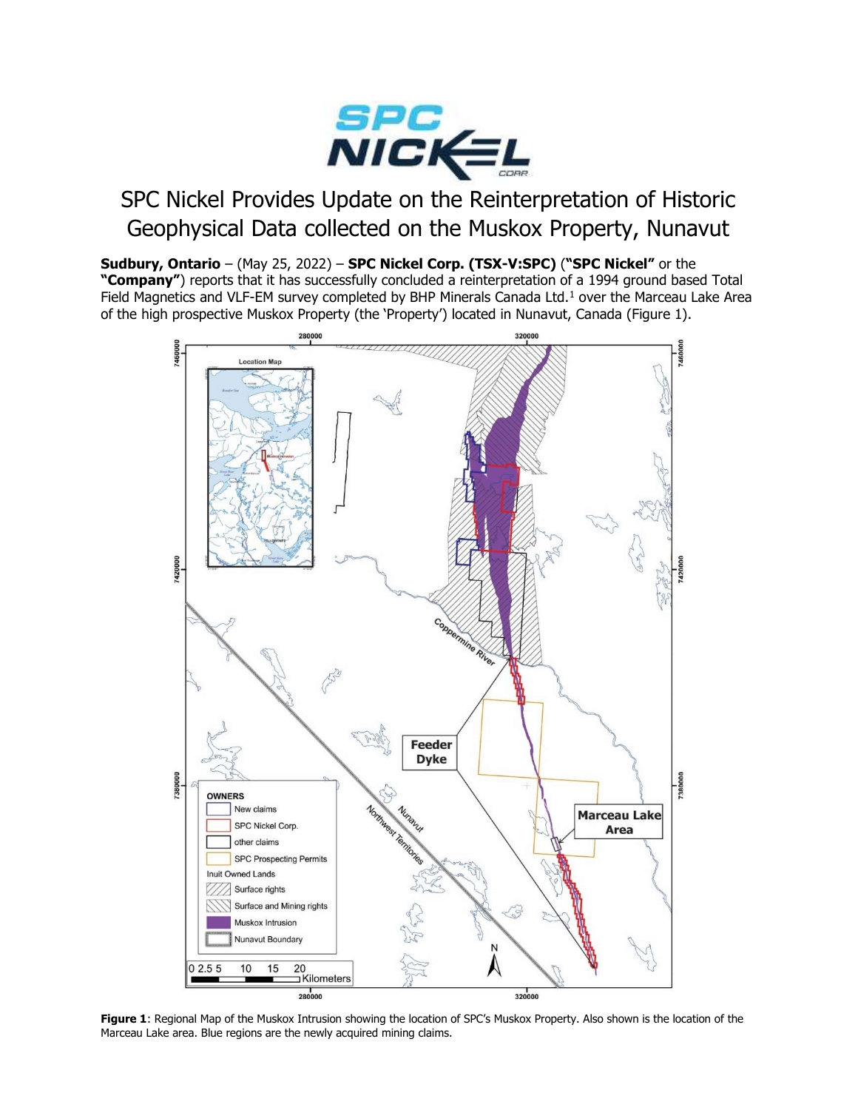

# SPC Nickel Provides Update on the Reinterpretation of Historic Geophysical Data collected on the Muskox Property, Nunavut

Sudbury, Ontario - (May 25, 2022) - SPC Nickel Corp. (TSX-V:SPC) ("SPC Nickel" or the "Company") reports that it has successfully concluded a reinterpretation of a 1994 ground based Total Field Magnetics and VLF-EM survey completed by BHP Minerals Canada Ltd.<sup>1</sup> over the Marceau Lake Area of the high prospective Muskox Property (the 'Property') located in Nunavut, Canada (Figure 1).



Figure 1: Regional Map of the Muskox Intrusion showing the location of SPC's Muskox Property. Also shown is the location of the Marceau Lake area. Blue regions are the newly acquired mining claims.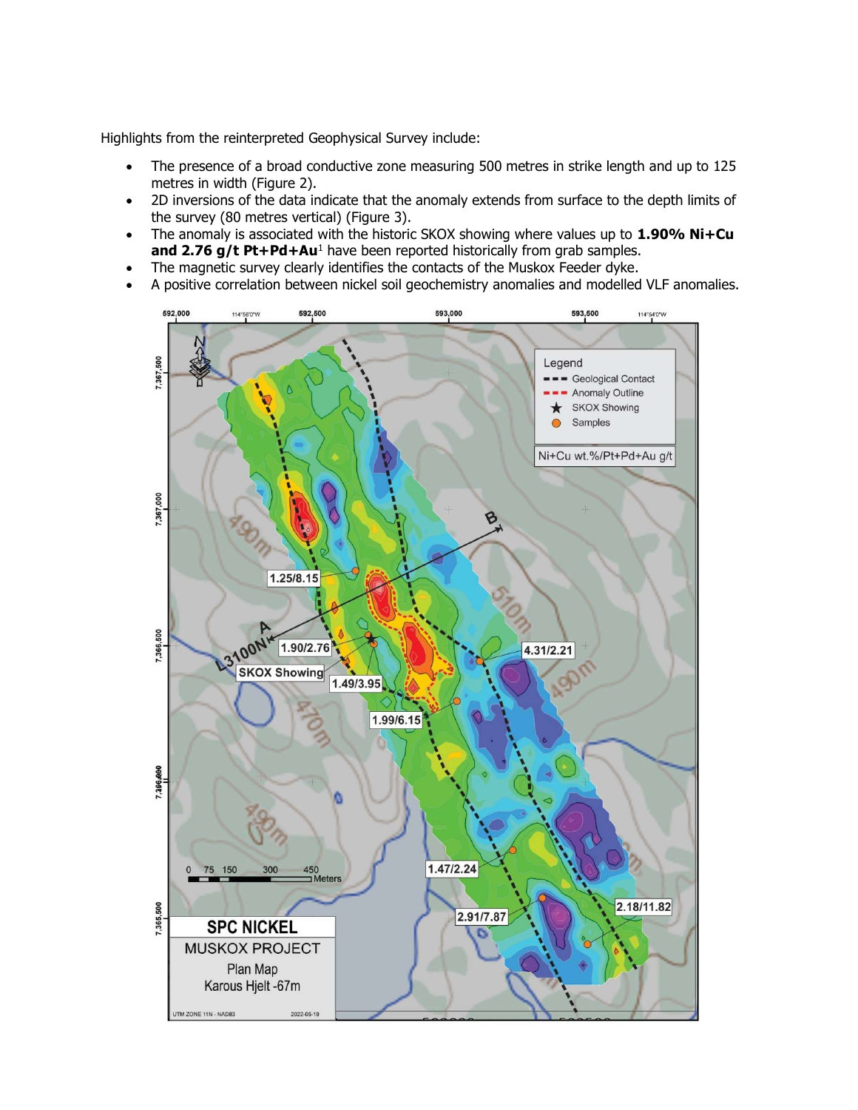Highlights from the reinterpreted Geophysical Survey include:

- The presence of a broad conductive zone measuring 500 metres in strike length and up to 125 metres in width (Figure 2).
- 2D inversions of the data indicate that the anomaly extends from surface to the depth limits of the survey (80 metres vertical) (Figure 3).
- The anomaly is associated with the historic SKOX showing where values up to  $1.90\%$  Ni+Cu and 2.76 g/t Pt+Pd+Au<sup>1</sup> have been reported historically from grab samples.
- The magnetic survey clearly identifies the contacts of the Muskox Feeder dyke.
- A positive correlation between nickel soil geochemistry anomalies and modelled VLF anomalies.

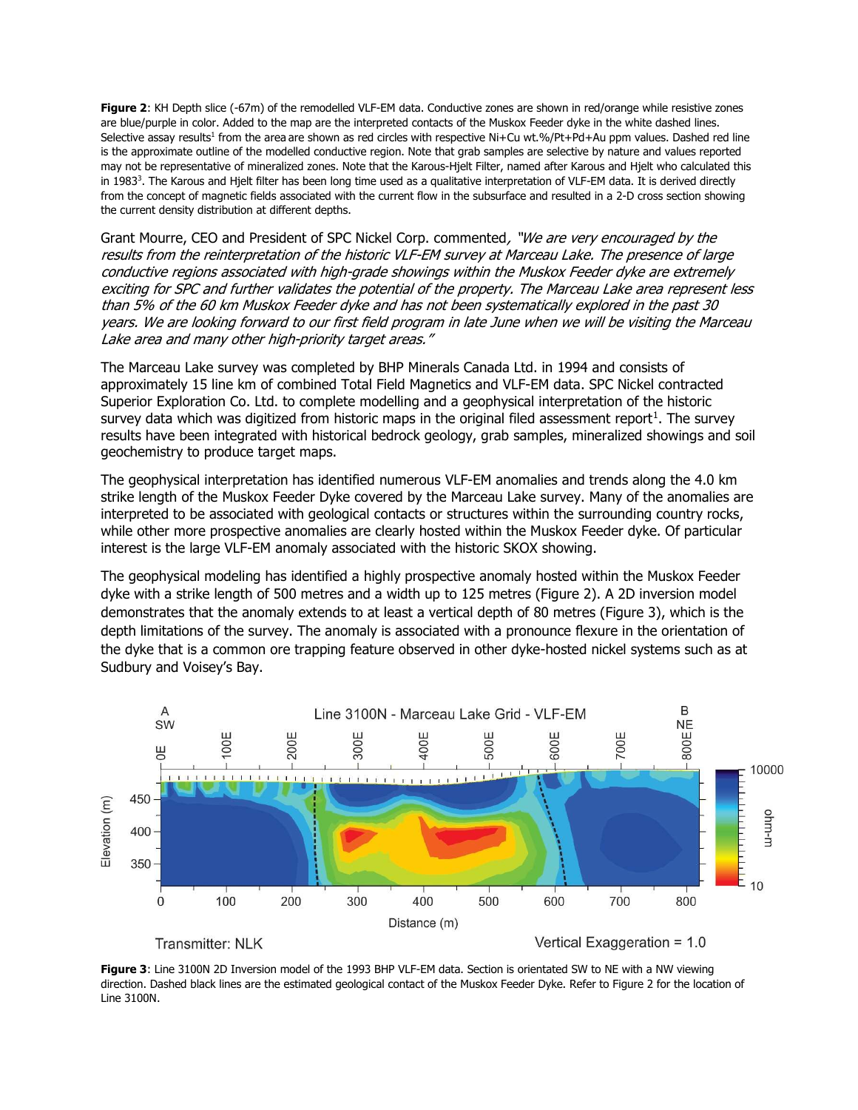Figure 2: KH Depth slice (-67m) of the remodelled VLF-EM data. Conductive zones are shown in red/orange while resistive zones are blue/purple in color. Added to the map are the interpreted contacts of the Muskox Feeder dyke in the white dashed lines. Selective assay results<sup>1</sup> from the area are shown as red circles with respective Ni+Cu wt.%/Pt+Pd+Au ppm values. Dashed red line is the approximate outline of the modelled conductive region. Note that grab samples are selective by nature and values reported may not be representative of mineralized zones. Note that the Karous-Hjelt Filter, named after Karous and Hjelt who calculated this in 1983<sup>3</sup>. The Karous and Hjelt filter has been long time used as a qualitative interpretation of VLF-EM data. It is derived directly from the concept of magnetic fields associated with the current flow in the subsurface and resulted in a 2-D cross section showing the current density distribution at different depths.

Grant Mourre, CEO and President of SPC Nickel Corp. commented, "We are very encouraged by the results from the reinterpretation of the historic VLF-EM survey at Marceau Lake. The presence of large conductive regions associated with high-grade showings within the Muskox Feeder dyke are extremely exciting for SPC and further validates the potential of the property. The Marceau Lake area represent less than 5% of the 60 km Muskox Feeder dyke and has not been systematically explored in the past 30 years. We are looking forward to our first field program in late June when we will be visiting the Marceau Lake area and many other high-priority target areas."

The Marceau Lake survey was completed by BHP Minerals Canada Ltd. in 1994 and consists of approximately 15 line km of combined Total Field Magnetics and VLF-EM data. SPC Nickel contracted Superior Exploration Co. Ltd. to complete modelling and a geophysical interpretation of the historic survey data which was digitized from historic maps in the original filed assessment report<sup>1</sup>. The survey results have been integrated with historical bedrock geology, grab samples, mineralized showings and soil geochemistry to produce target maps.

The geophysical interpretation has identified numerous VLF-EM anomalies and trends along the 4.0 km strike length of the Muskox Feeder Dyke covered by the Marceau Lake survey. Many of the anomalies are interpreted to be associated with geological contacts or structures within the surrounding country rocks, while other more prospective anomalies are clearly hosted within the Muskox Feeder dyke. Of particular interest is the large VLF-EM anomaly associated with the historic SKOX showing.

The geophysical modeling has identified a highly prospective anomaly hosted within the Muskox Feeder dyke with a strike length of 500 metres and a width up to 125 metres (Figure 2). A 2D inversion model demonstrates that the anomaly extends to at least a vertical depth of 80 metres (Figure 3), which is the depth limitations of the survey. The anomaly is associated with a pronounce flexure in the orientation of the dyke that is a common ore trapping feature observed in other dyke-hosted nickel systems such as at Sudbury and Voisey's Bay.



Figure 3: Line 3100N 2D Inversion model of the 1993 BHP VLF-EM data. Section is orientated SW to NE with a NW viewing direction. Dashed black lines are the estimated geological contact of the Muskox Feeder Dyke. Refer to Figure 2 for the location of Line 3100N.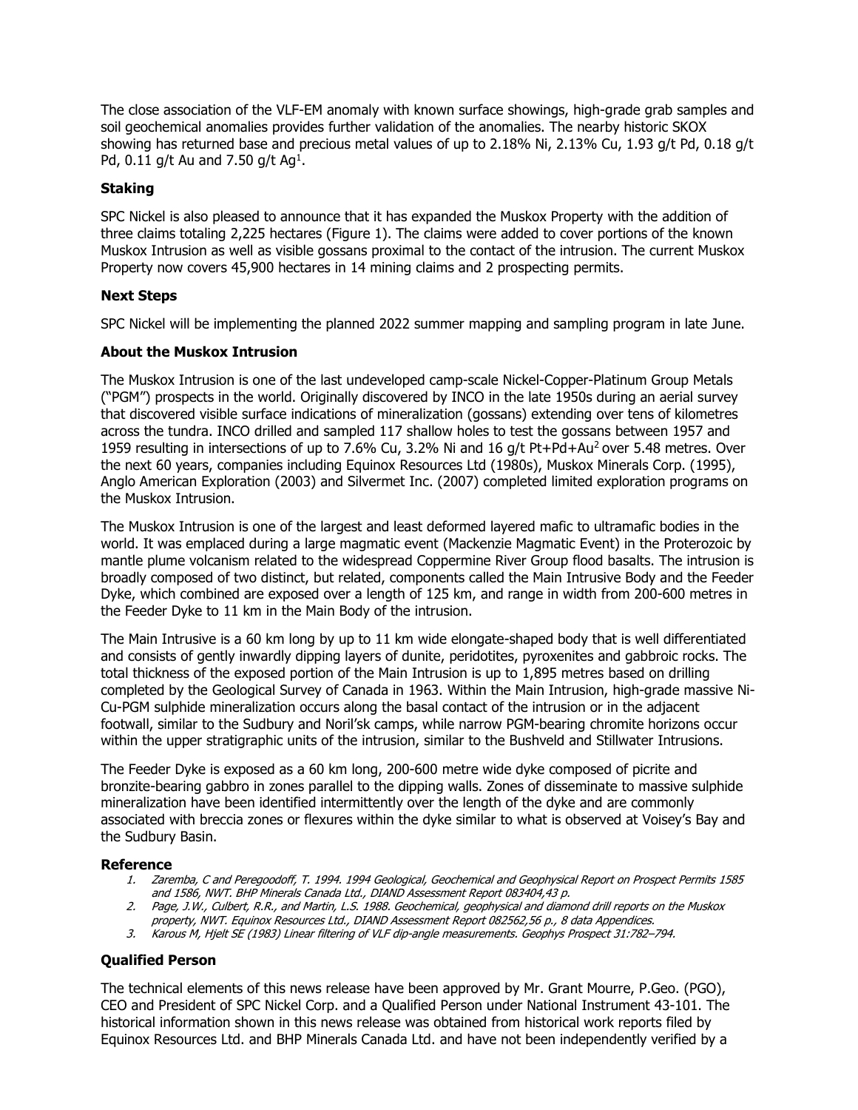The close association of the VLF-EM anomaly with known surface showings, high-grade grab samples and soil geochemical anomalies provides further validation of the anomalies. The nearby historic SKOX showing has returned base and precious metal values of up to 2.18% Ni, 2.13% Cu, 1.93 g/t Pd, 0.18 g/t Pd, 0.11 g/t Au and 7.50 g/t Ag<sup>1</sup>.

## Staking

SPC Nickel is also pleased to announce that it has expanded the Muskox Property with the addition of three claims totaling 2,225 hectares (Figure 1). The claims were added to cover portions of the known Muskox Intrusion as well as visible gossans proximal to the contact of the intrusion. The current Muskox Property now covers 45,900 hectares in 14 mining claims and 2 prospecting permits.

### Next Steps

SPC Nickel will be implementing the planned 2022 summer mapping and sampling program in late June.

### About the Muskox Intrusion

The Muskox Intrusion is one of the last undeveloped camp-scale Nickel-Copper-Platinum Group Metals ("PGM") prospects in the world. Originally discovered by INCO in the late 1950s during an aerial survey that discovered visible surface indications of mineralization (gossans) extending over tens of kilometres across the tundra. INCO drilled and sampled 117 shallow holes to test the gossans between 1957 and 1959 resulting in intersections of up to 7.6% Cu, 3.2% Ni and 16 g/t Pt+Pd+Au<sup>2</sup> over 5.48 metres. Over the next 60 years, companies including Equinox Resources Ltd (1980s), Muskox Minerals Corp. (1995), Anglo American Exploration (2003) and Silvermet Inc. (2007) completed limited exploration programs on the Muskox Intrusion.

The Muskox Intrusion is one of the largest and least deformed layered mafic to ultramafic bodies in the world. It was emplaced during a large magmatic event (Mackenzie Magmatic Event) in the Proterozoic by mantle plume volcanism related to the widespread Coppermine River Group flood basalts. The intrusion is broadly composed of two distinct, but related, components called the Main Intrusive Body and the Feeder Dyke, which combined are exposed over a length of 125 km, and range in width from 200-600 metres in the Feeder Dyke to 11 km in the Main Body of the intrusion.

The Main Intrusive is a 60 km long by up to 11 km wide elongate-shaped body that is well differentiated and consists of gently inwardly dipping layers of dunite, peridotites, pyroxenites and gabbroic rocks. The total thickness of the exposed portion of the Main Intrusion is up to 1,895 metres based on drilling completed by the Geological Survey of Canada in 1963. Within the Main Intrusion, high-grade massive Ni-Cu-PGM sulphide mineralization occurs along the basal contact of the intrusion or in the adjacent footwall, similar to the Sudbury and Noril'sk camps, while narrow PGM-bearing chromite horizons occur within the upper stratigraphic units of the intrusion, similar to the Bushveld and Stillwater Intrusions.

The Feeder Dyke is exposed as a 60 km long, 200-600 metre wide dyke composed of picrite and bronzite-bearing gabbro in zones parallel to the dipping walls. Zones of disseminate to massive sulphide mineralization have been identified intermittently over the length of the dyke and are commonly associated with breccia zones or flexures within the dyke similar to what is observed at Voisey's Bay and the Sudbury Basin.

### Reference

- 1. Zaremba, C and Peregoodoff, T. 1994. 1994 Geological, Geochemical and Geophysical Report on Prospect Permits 1585 and 1586, NWT. BHP Minerals Canada Ltd., DIAND Assessment Report 083404,43 p.
- 2. Page, J.W., Culbert, R.R., and Martin, L.S. 1988. Geochemical, geophysical and diamond drill reports on the Muskox property, NWT. Equinox Resources Ltd., DIAND Assessment Report 082562,56 p., 8 data Appendices.
- 3. Karous M, Hjelt SE (1983) Linear filtering of VLF dip-angle measurements. Geophys Prospect 31:782–794.

### Qualified Person

The technical elements of this news release have been approved by Mr. Grant Mourre, P.Geo. (PGO), CEO and President of SPC Nickel Corp. and a Qualified Person under National Instrument 43-101. The historical information shown in this news release was obtained from historical work reports filed by Equinox Resources Ltd. and BHP Minerals Canada Ltd. and have not been independently verified by a